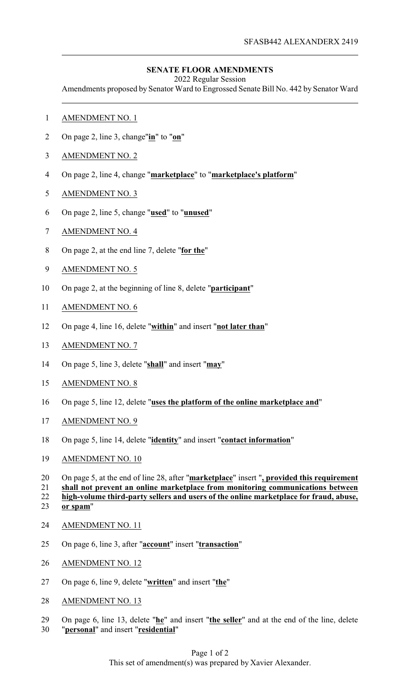## **SENATE FLOOR AMENDMENTS**

2022 Regular Session

Amendments proposed by Senator Ward to Engrossed Senate Bill No. 442 by Senator Ward

- AMENDMENT NO. 1
- On page 2, line 3, change"**in**" to "**on**"
- AMENDMENT NO. 2
- On page 2, line 4, change "**marketplace**" to "**marketplace's platform**"
- AMENDMENT NO. 3
- On page 2, line 5, change "**used**" to "**unused**"
- AMENDMENT NO. 4
- On page 2, at the end line 7, delete "**for the**"
- AMENDMENT NO. 5
- On page 2, at the beginning of line 8, delete "**participant**"
- AMENDMENT NO. 6
- On page 4, line 16, delete "**within**" and insert "**not later than**"
- AMENDMENT NO. 7
- On page 5, line 3, delete "**shall**" and insert "**may**"
- AMENDMENT NO. 8
- On page 5, line 12, delete "**uses the platform of the online marketplace and**"
- AMENDMENT NO. 9
- On page 5, line 14, delete "**identity**" and insert "**contact information**"
- AMENDMENT NO. 10
- On page 5, at the end of line 28, after "**marketplace**" insert "**, provided this requirement**

**shall not prevent an online marketplace from monitoring communications between**

- **high-volume third-party sellers and users of the online marketplace for fraud, abuse, or spam**"
- AMENDMENT NO. 11
- On page 6, line 3, after "**account**" insert "**transaction**"
- AMENDMENT NO. 12
- On page 6, line 9, delete "**written**" and insert "**the**"
- AMENDMENT NO. 13
- On page 6, line 13, delete "**he**" and insert "**the seller**" and at the end of the line, delete "**personal**" and insert "**residential**"